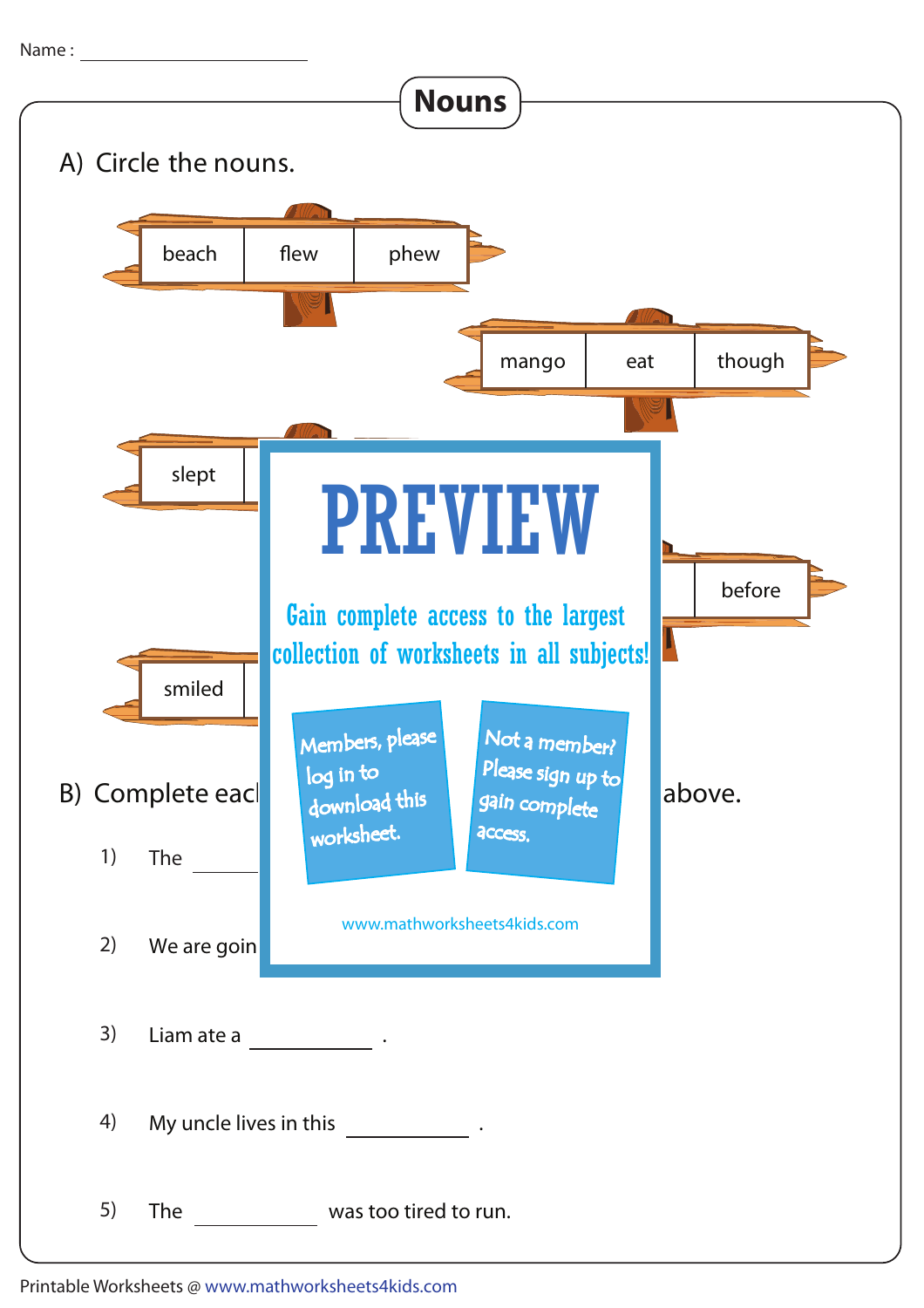